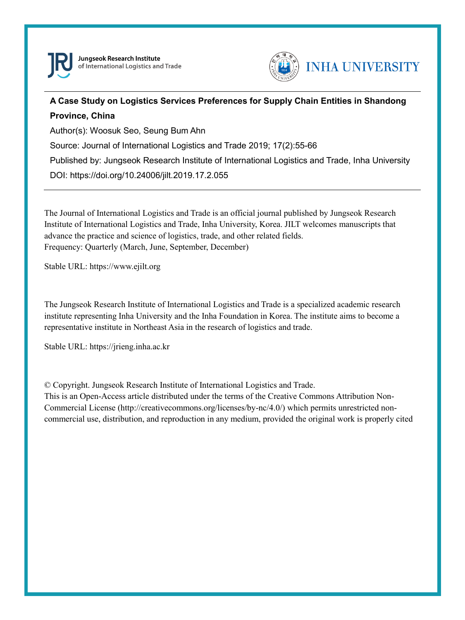



## **A Case Study on Logistics Services Preferences for Supply Chain Entities in Shandong Province, China**

Author(s): Woosuk Seo, Seung Bum Ahn

Source: Journal of International Logistics and Trade 2019; 17(2):55-66

Published by: Jungseok Research Institute of International Logistics and Trade, Inha University

DOI: https://doi.org/10.24006/jilt.2019.17.2.055

The Journal of International Logistics and Trade is an official journal published by Jungseok Research Institute of International Logistics and Trade, Inha University, Korea. JILT welcomes manuscripts that advance the practice and science of logistics, trade, and other related fields. Frequency: Quarterly (March, June, September, December)

Stable URL: https://www.ejilt.org

The Jungseok Research Institute of International Logistics and Trade is a specialized academic research institute representing Inha University and the Inha Foundation in Korea. The institute aims to become a representative institute in Northeast Asia in the research of logistics and trade.

Stable URL: https://jrieng.inha.ac.kr

© Copyright. Jungseok Research Institute of International Logistics and Trade.

This is an Open-Access article distributed under the terms of the Creative Commons Attribution Non-Commercial License (http://creativecommons.org/licenses/by-nc/4.0/) which permits unrestricted noncommercial use, distribution, and reproduction in any medium, provided the original work is properly cited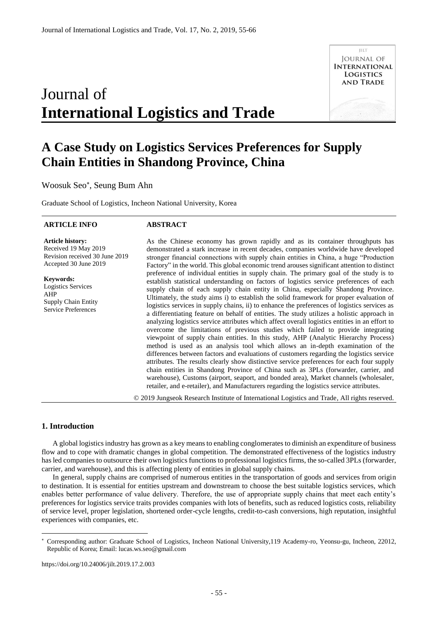# Journal of **International Logistics and Trade**



## **A Case Study on Logistics Services Preferences for Supply Chain Entities in Shandong Province, China**

Woosuk Seo , Seung Bum Ahn

Graduate School of Logistics, Incheon National University, Korea

#### **ARTICLE INFO**

#### **ABSTRACT**

**Article history:**  Received 19 May 2019 Revision received 30 June 2019 Accepted 30 June 2019

**Keywords:**  Logistics Services AHP Supply Chain Entity Service Preferences

As the Chinese economy has grown rapidly and as its container throughputs has demonstrated a stark increase in recent decades, companies worldwide have developed stronger financial connections with supply chain entities in China, a huge "Production Factory" in the world. This global economic trend arouses significant attention to distinct preference of individual entities in supply chain. The primary goal of the study is to establish statistical understanding on factors of logistics service preferences of each supply chain of each supply chain entity in China, especially Shandong Province. Ultimately, the study aims i) to establish the solid framework for proper evaluation of logistics services in supply chains, ii) to enhance the preferences of logistics services as a differentiating feature on behalf of entities. The study utilizes a holistic approach in analyzing logistics service attributes which affect overall logistics entities in an effort to overcome the limitations of previous studies which failed to provide integrating viewpoint of supply chain entities. In this study, AHP (Analytic Hierarchy Process) method is used as an analysis tool which allows an in-depth examination of the differences between factors and evaluations of customers regarding the logistics service attributes. The results clearly show distinctive service preferences for each four supply chain entities in Shandong Province of China such as 3PLs (forwarder, carrier, and warehouse), Customs (airport, seaport, and bonded area), Market channels (wholesaler, retailer, and e-retailer), and Manufacturers regarding the logistics service attributes.

© 2019 Jungseok Research Institute of International Logistics and Trade, All rights reserved.

#### **1. Introduction**

-

A global logistics industry has grown as a key means to enabling conglomerates to diminish an expenditure of business flow and to cope with dramatic changes in global competition. The demonstrated effectiveness of the logistics industry has led companies to outsource their own logistics functions to professional logistics firms, the so-called 3PLs (forwarder, carrier, and warehouse), and this is affecting plenty of entities in global supply chains.

In general, supply chains are comprised of numerous entities in the transportation of goods and services from origin to destination. It is essential for entities upstream and downstream to choose the best suitable logistics services, which enables better performance of value delivery. Therefore, the use of appropriate supply chains that meet each entity's preferences for logistics service traits provides companies with lots of benefits, such as reduced logistics costs, reliability of service level, proper legislation, shortened order-cycle lengths, credit-to-cash conversions, high reputation, insightful experiences with companies, etc.

https://doi.org/10.24006/jilt.2019.17.2.003

Corresponding author: Graduate School of Logistics, Incheon National University,119 Academy-ro, Yeonsu-gu, Incheon, 22012, Republic of Korea; Email: lucas.ws.seo@gmail.com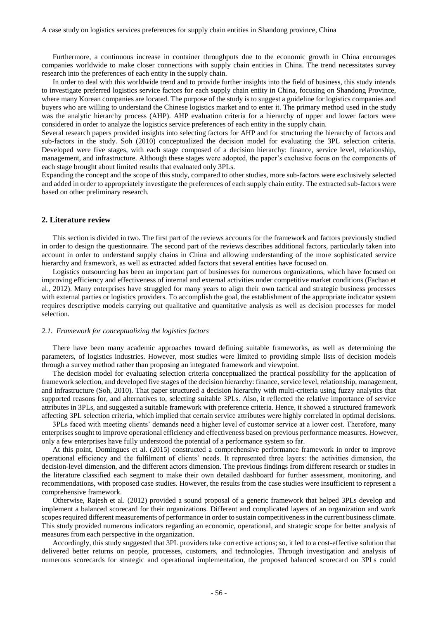Furthermore, a continuous increase in container throughputs due to the economic growth in China encourages companies worldwide to make closer connections with supply chain entities in China. The trend necessitates survey research into the preferences of each entity in the supply chain.

In order to deal with this worldwide trend and to provide further insights into the field of business, this study intends to investigate preferred logistics service factors for each supply chain entity in China, focusing on Shandong Province, where many Korean companies are located. The purpose of the study is to suggest a guideline for logistics companies and buyers who are willing to understand the Chinese logistics market and to enter it. The primary method used in the study was the analytic hierarchy process (AHP). AHP evaluation criteria for a hierarchy of upper and lower factors were considered in order to analyze the logistics service preferences of each entity in the supply chain.

Several research papers provided insights into selecting factors for AHP and for structuring the hierarchy of factors and sub-factors in the study. Soh (2010) conceptualized the decision model for evaluating the 3PL selection criteria. Developed were five stages, with each stage composed of a decision hierarchy: finance, service level, relationship, management, and infrastructure. Although these stages were adopted, the paper's exclusive focus on the components of each stage brought about limited results that evaluated only 3PLs.

Expanding the concept and the scope of this study, compared to other studies, more sub-factors were exclusively selected and added in order to appropriately investigate the preferences of each supply chain entity. The extracted sub-factors were based on other preliminary research.

#### **2. Literature review**

This section is divided in two. The first part of the reviews accounts for the framework and factors previously studied in order to design the questionnaire. The second part of the reviews describes additional factors, particularly taken into account in order to understand supply chains in China and allowing understanding of the more sophisticated service hierarchy and framework, as well as extracted added factors that several entities have focused on.

Logistics outsourcing has been an important part of businesses for numerous organizations, which have focused on improving efficiency and effectiveness of internal and external activities under competitive market conditions (Fachao et al., 2012). Many enterprises have struggled for many years to align their own tactical and strategic business processes with external parties or logistics providers. To accomplish the goal, the establishment of the appropriate indicator system requires descriptive models carrying out qualitative and quantitative analysis as well as decision processes for model selection.

#### *2.1. Framework for conceptualizing the logistics factors*

There have been many academic approaches toward defining suitable frameworks, as well as determining the parameters, of logistics industries. However, most studies were limited to providing simple lists of decision models through a survey method rather than proposing an integrated framework and viewpoint.

The decision model for evaluating selection criteria conceptualized the practical possibility for the application of framework selection, and developed five stages of the decision hierarchy: finance, service level, relationship, management, and infrastructure (Soh, 2010). That paper structured a decision hierarchy with multi-criteria using fuzzy analytics that supported reasons for, and alternatives to, selecting suitable 3PLs. Also, it reflected the relative importance of service attributes in 3PLs, and suggested a suitable framework with preference criteria. Hence, it showed a structured framework affecting 3PL selection criteria, which implied that certain service attributes were highly correlated in optimal decisions.

3PLs faced with meeting clients' demands need a higher level of customer service at a lower cost. Therefore, many enterprises sought to improve operational efficiency and effectiveness based on previous performance measures. However, only a few enterprises have fully understood the potential of a performance system so far.

At this point, Domingues et al. (2015) constructed a comprehensive performance framework in order to improve operational efficiency and the fulfilment of clients' needs. It represented three layers: the activities dimension, the decision-level dimension, and the different actors dimension. The previous findings from different research or studies in the literature classified each segment to make their own detailed dashboard for further assessment, monitoring, and recommendations, with proposed case studies. However, the results from the case studies were insufficient to represent a comprehensive framework.

Otherwise, Rajesh et al. (2012) provided a sound proposal of a generic framework that helped 3PLs develop and implement a balanced scorecard for their organizations. Different and complicated layers of an organization and work scopes required different measurements of performance in order to sustain competitiveness in the current business climate. This study provided numerous indicators regarding an economic, operational, and strategic scope for better analysis of measures from each perspective in the organization.

Accordingly, this study suggested that 3PL providers take corrective actions; so, it led to a cost-effective solution that delivered better returns on people, processes, customers, and technologies. Through investigation and analysis of numerous scorecards for strategic and operational implementation, the proposed balanced scorecard on 3PLs could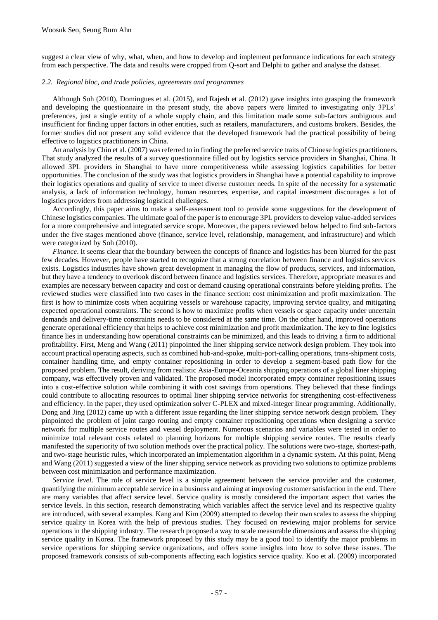suggest a clear view of why, what, when, and how to develop and implement performance indications for each strategy from each perspective. The data and results were cropped from Q-sort and Delphi to gather and analyse the dataset.

#### *2.2. Regional bloc, and trade policies, agreements and programmes*

Although Soh (2010), Domingues et al. (2015), and Rajesh et al. (2012) gave insights into grasping the framework and developing the questionnaire in the present study, the above papers were limited to investigating only 3PLs' preferences, just a single entity of a whole supply chain, and this limitation made some sub-factors ambiguous and insufficient for finding upper factors in other entities, such as retailers, manufacturers, and customs brokers. Besides, the former studies did not present any solid evidence that the developed framework had the practical possibility of being effective to logistics practitioners in China.

An analysis by Chin et al. (2007) was referred to in finding the preferred service traits of Chinese logistics practitioners. That study analyzed the results of a survey questionnaire filled out by logistics service providers in Shanghai, China. It allowed 3PL providers in Shanghai to have more competitiveness while assessing logistics capabilities for better opportunities. The conclusion of the study was that logistics providers in Shanghai have a potential capability to improve their logistics operations and quality of service to meet diverse customer needs. In spite of the necessity for a systematic analysis, a lack of information technology, human resources, expertise, and capital investment discourages a lot of logistics providers from addressing logistical challenges.

Accordingly, this paper aims to make a self-assessment tool to provide some suggestions for the development of Chinese logistics companies. The ultimate goal of the paper is to encourage 3PL providers to develop value-added services for a more comprehensive and integrated service scope. Moreover, the papers reviewed below helped to find sub-factors under the five stages mentioned above (finance, service level, relationship, management, and infrastructure) and which were categorized by Soh (2010).

*Finance*. It seems clear that the boundary between the concepts of finance and logistics has been blurred for the past few decades. However, people have started to recognize that a strong correlation between finance and logistics services exists. Logistics industries have shown great development in managing the flow of products, services, and information, but they have a tendency to overlook discord between finance and logistics services. Therefore, appropriate measures and examples are necessary between capacity and cost or demand causing operational constraints before yielding profits. The reviewed studies were classified into two cases in the finance section: cost minimization and profit maximization. The first is how to minimize costs when acquiring vessels or warehouse capacity, improving service quality, and mitigating expected operational constraints. The second is how to maximize profits when vessels or space capacity under uncertain demands and delivery-time constraints needs to be considered at the same time. On the other hand, improved operations generate operational efficiency that helps to achieve cost minimization and profit maximization. The key to fine logistics finance lies in understanding how operational constraints can be minimized, and this leads to driving a firm to additional profitability. First, Meng and Wang (2011) pinpointed the liner shipping service network design problem. They took into account practical operating aspects, such as combined hub-and-spoke, multi-port-calling operations, trans-shipment costs, container handling time, and empty container repositioning in order to develop a segment-based path flow for the proposed problem. The result, deriving from realistic Asia-Europe-Oceania shipping operations of a global liner shipping company, was effectively proven and validated. The proposed model incorporated empty container repositioning issues into a cost-effective solution while combining it with cost savings from operations. They believed that these findings could contribute to allocating resources to optimal liner shipping service networks for strengthening cost-effectiveness and efficiency. In the paper, they used optimization solver C-PLEX and mixed-integer linear programming. Additionally, Dong and Jing (2012) came up with a different issue regarding the liner shipping service network design problem. They pinpointed the problem of joint cargo routing and empty container repositioning operations when designing a service network for multiple service routes and vessel deployment. Numerous scenarios and variables were tested in order to minimize total relevant costs related to planning horizons for multiple shipping service routes. The results clearly manifested the superiority of two solution methods over the practical policy. The solutions were two-stage, shortest-path, and two-stage heuristic rules, which incorporated an implementation algorithm in a dynamic system. At this point, Meng and Wang (2011) suggested a view of the liner shipping service network as providing two solutions to optimize problems between cost minimization and performance maximization.

*Service level*. The role of service level is a simple agreement between the service provider and the customer, quantifying the minimum acceptable service in a business and aiming at improving customer satisfaction in the end. There are many variables that affect service level. Service quality is mostly considered the important aspect that varies the service levels. In this section, research demonstrating which variables affect the service level and its respective quality are introduced, with several examples. Kang and Kim (2009) attempted to develop their own scales to assess the shipping service quality in Korea with the help of previous studies. They focused on reviewing major problems for service operations in the shipping industry. The research proposed a way to scale measurable dimensions and assess the shipping service quality in Korea. The framework proposed by this study may be a good tool to identify the major problems in service operations for shipping service organizations, and offers some insights into how to solve these issues. The proposed framework consists of sub-components affecting each logistics service quality. Koo et al. (2009) incorporated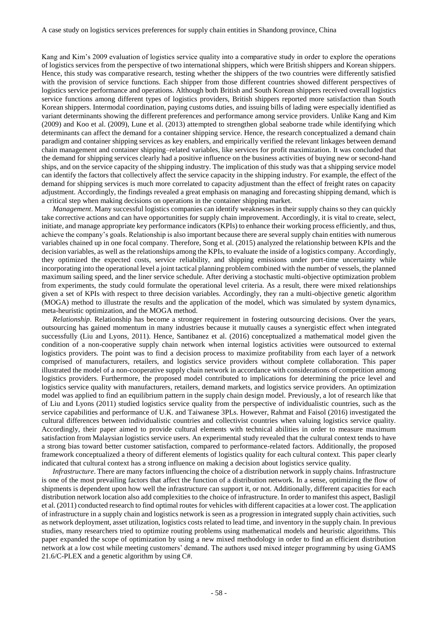Kang and Kim's 2009 evaluation of logistics service quality into a comparative study in order to explore the operations of logistics services from the perspective of two international shippers, which were British shippers and Korean shippers. Hence, this study was comparative research, testing whether the shippers of the two countries were differently satisfied with the provision of service functions. Each shipper from those different countries showed different perspectives of logistics service performance and operations. Although both British and South Korean shippers received overall logistics service functions among different types of logistics providers, British shippers reported more satisfaction than South Korean shippers. Intermodal coordination, paying customs duties, and issuing bills of lading were especially identified as variant determinants showing the different preferences and performance among service providers. Unlike Kang and Kim (2009) and Koo et al. (2009), Lune et al. (2013) attempted to strengthen global seaborne trade while identifying which determinants can affect the demand for a container shipping service. Hence, the research conceptualized a demand chain paradigm and container shipping services as key enablers, and empirically verified the relevant linkages between demand chain management and container shipping–related variables, like services for profit maximization. It was concluded that the demand for shipping services clearly had a positive influence on the business activities of buying new or second-hand ships, and on the service capacity of the shipping industry. The implication of this study was that a shipping service model can identify the factors that collectively affect the service capacity in the shipping industry. For example, the effect of the demand for shipping services is much more correlated to capacity adjustment than the effect of freight rates on capacity adjustment. Accordingly, the findings revealed a great emphasis on managing and forecasting shipping demand, which is a critical step when making decisions on operations in the container shipping market.

*Management*. Many successful logistics companies can identify weaknesses in their supply chains so they can quickly take corrective actions and can have opportunities for supply chain improvement. Accordingly, it is vital to create, select, initiate, and manage appropriate key performance indicators (KPIs) to enhance their working process efficiently, and thus, achieve the company's goals. Relationship is also important because there are several supply chain entities with numerous variables chained up in one focal company. Therefore, Song et al. (2015) analyzed the relationship between KPIs and the decision variables, as well as the relationships among the KPIs, to evaluate the inside of a logistics company. Accordingly, they optimized the expected costs, service reliability, and shipping emissions under port-time uncertainty while incorporating into the operational level a joint tactical planning problem combined with the number of vessels, the planned maximum sailing speed, and the liner service schedule. After deriving a stochastic multi-objective optimization problem from experiments, the study could formulate the operational level criteria. As a result, there were mixed relationships given a set of KPIs with respect to three decision variables. Accordingly, they ran a multi-objective genetic algorithm (MOGA) method to illustrate the results and the application of the model, which was simulated by system dynamics, meta-heuristic optimization, and the MOGA method.

*Relationship*. Relationship has become a stronger requirement in fostering outsourcing decisions. Over the years, outsourcing has gained momentum in many industries because it mutually causes a synergistic effect when integrated successfully (Liu and Lyons, 2011). Hence, Santibanez et al. (2016) conceptualized a mathematical model given the condition of a non-cooperative supply chain network when internal logistics activities were outsourced to external logistics providers. The point was to find a decision process to maximize profitability from each layer of a network comprised of manufacturers, retailers, and logistics service providers without complete collaboration. This paper illustrated the model of a non-cooperative supply chain network in accordance with considerations of competition among logistics providers. Furthermore, the proposed model contributed to implications for determining the price level and logistics service quality with manufacturers, retailers, demand markets, and logistics service providers. An optimization model was applied to find an equilibrium pattern in the supply chain design model. Previously, a lot of research like that of Liu and Lyons (2011) studied logistics service quality from the perspective of individualistic countries, such as the service capabilities and performance of U.K. and Taiwanese 3PLs. However, Rahmat and Faisol (2016) investigated the cultural differences between individualistic countries and collectivist countries when valuing logistics service quality. Accordingly, their paper aimed to provide cultural elements with technical abilities in order to measure maximum satisfaction from Malaysian logistics service users. An experimental study revealed that the cultural context tends to have a strong bias toward better customer satisfaction, compared to performance-related factors. Additionally, the proposed framework conceptualized a theory of different elements of logistics quality for each cultural context. This paper clearly indicated that cultural context has a strong influence on making a decision about logistics service quality.

*Infrastructure*. There are many factors influencing the choice of a distribution network in supply chains. Infrastructure is one of the most prevailing factors that affect the function of a distribution network. In a sense, optimizing the flow of shipments is dependent upon how well the infrastructure can support it, or not. Additionally, different capacities for each distribution network location also add complexities to the choice of infrastructure. In order to manifest this aspect, Basligil et al. (2011) conducted research to find optimal routes for vehicles with different capacities at a lower cost. The application of infrastructure in a supply chain and logistics network is seen as a progression in integrated supply chain activities, such as network deployment, asset utilization, logistics costs related to lead time, and inventory in the supply chain. In previous studies, many researchers tried to optimize routing problems using mathematical models and heuristic algorithms. This paper expanded the scope of optimization by using a new mixed methodology in order to find an efficient distribution network at a low cost while meeting customers' demand. The authors used mixed integer programming by using GAMS 21.6/C-PLEX and a genetic algorithm by using C#.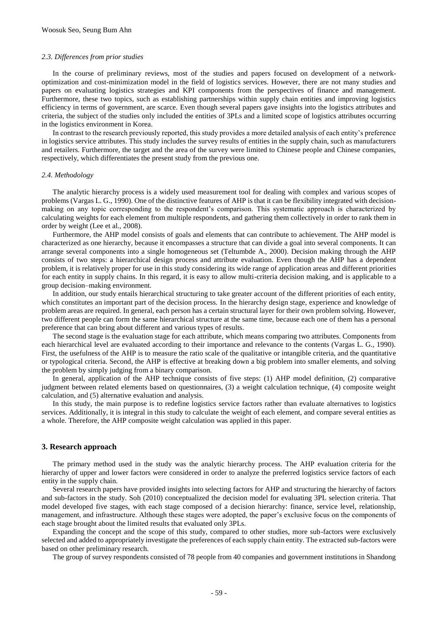#### *2.3. Differences from prior studies*

In the course of preliminary reviews, most of the studies and papers focused on development of a networkoptimization and cost-minimization model in the field of logistics services. However, there are not many studies and papers on evaluating logistics strategies and KPI components from the perspectives of finance and management. Furthermore, these two topics, such as establishing partnerships within supply chain entities and improving logistics efficiency in terms of government, are scarce. Even though several papers gave insights into the logistics attributes and criteria, the subject of the studies only included the entities of 3PLs and a limited scope of logistics attributes occurring in the logistics environment in Korea.

In contrast to the research previously reported, this study provides a more detailed analysis of each entity's preference in logistics service attributes. This study includes the survey results of entities in the supply chain, such as manufacturers and retailers. Furthermore, the target and the area of the survey were limited to Chinese people and Chinese companies, respectively, which differentiates the present study from the previous one.

#### *2.4. Methodology*

The analytic hierarchy process is a widely used measurement tool for dealing with complex and various scopes of problems (Vargas L. G., 1990). One of the distinctive features of AHP is that it can be flexibility integrated with decisionmaking on any topic corresponding to the respondent's comparison. This systematic approach is characterized by calculating weights for each element from multiple respondents, and gathering them collectively in order to rank them in order by weight (Lee et al., 2008).

Furthermore, the AHP model consists of goals and elements that can contribute to achievement. The AHP model is characterized as one hierarchy, because it encompasses a structure that can divide a goal into several components. It can arrange several components into a single homogeneous set (Teltumbde A., 2000). Decision making through the AHP consists of two steps: a hierarchical design process and attribute evaluation. Even though the AHP has a dependent problem, it is relatively proper for use in this study considering its wide range of application areas and different priorities for each entity in supply chains. In this regard, it is easy to allow multi-criteria decision making, and is applicable to a group decision–making environment.

In addition, our study entails hierarchical structuring to take greater account of the different priorities of each entity, which constitutes an important part of the decision process. In the hierarchy design stage, experience and knowledge of problem areas are required. In general, each person has a certain structural layer for their own problem solving. However, two different people can form the same hierarchical structure at the same time, because each one of them has a personal preference that can bring about different and various types of results.

The second stage is the evaluation stage for each attribute, which means comparing two attributes. Components from each hierarchical level are evaluated according to their importance and relevance to the contents (Vargas L. G., 1990). First, the usefulness of the AHP is to measure the ratio scale of the qualitative or intangible criteria, and the quantitative or typological criteria. Second, the AHP is effective at breaking down a big problem into smaller elements, and solving the problem by simply judging from a binary comparison.

In general, application of the AHP technique consists of five steps: (1) AHP model definition, (2) comparative judgment between related elements based on questionnaires, (3) a weight calculation technique, (4) composite weight calculation, and (5) alternative evaluation and analysis.

In this study, the main purpose is to redefine logistics service factors rather than evaluate alternatives to logistics services. Additionally, it is integral in this study to calculate the weight of each element, and compare several entities as a whole. Therefore, the AHP composite weight calculation was applied in this paper.

#### **3. Research approach**

The primary method used in the study was the analytic hierarchy process. The AHP evaluation criteria for the hierarchy of upper and lower factors were considered in order to analyze the preferred logistics service factors of each entity in the supply chain.

Several research papers have provided insights into selecting factors for AHP and structuring the hierarchy of factors and sub-factors in the study. Soh (2010) conceptualized the decision model for evaluating 3PL selection criteria. That model developed five stages, with each stage composed of a decision hierarchy: finance, service level, relationship, management, and infrastructure. Although these stages were adopted, the paper's exclusive focus on the components of each stage brought about the limited results that evaluated only 3PLs.

Expanding the concept and the scope of this study, compared to other studies, more sub-factors were exclusively selected and added to appropriately investigate the preferences of each supply chain entity. The extracted sub-factors were based on other preliminary research.

The group of survey respondents consisted of 78 people from 40 companies and government institutions in Shandong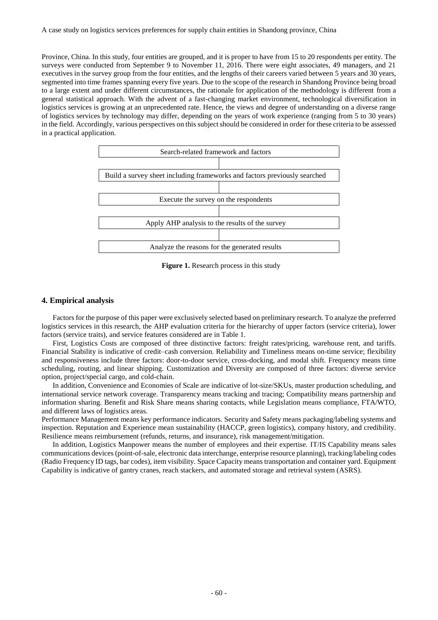Province, China. In this study, four entities are grouped, and it is proper to have from 15 to 20 respondents per entity. The surveys were conducted from September 9 to November 11, 2016. There were eight associates, 49 managers, and 21 executives in the survey group from the four entities, and the lengths of their careers varied between 5 years and 30 years, segmented into time frames spanning every five years. Due to the scope of the research in Shandong Province being broad to a large extent and under different circumstances, the rationale for application of the methodology is different from a general statistical approach. With the advent of a fast-changing market environment, technological diversification in logistics services is growing at an unprecedented rate. Hence, the views and degree of understanding on a diverse range of logistics services by technology may differ, depending on the years of work experience (ranging from 5 to 30 years) in the field. Accordingly, various perspectives on this subject should be considered in order for these criteria to be assessed in a practical application.



**Figure 1.** Research process in this study

#### **4. Empirical analysis**

Factors for the purpose of this paper were exclusively selected based on preliminary research. To analyze the preferred logistics services in this research, the AHP evaluation criteria for the hierarchy of upper factors (service criteria), lower factors (service traits), and service features considered are in Table 1.

First, Logistics Costs are composed of three distinctive factors: freight rates/pricing, warehouse rent, and tariffs. Financial Stability is indicative of credit–cash conversion. Reliability and Timeliness means on-time service; flexibility and responsiveness include three factors: door-to-door service, cross-docking, and modal shift. Frequency means time scheduling, routing, and linear shipping. Customization and Diversity are composed of three factors: diverse service option, project/special cargo, and cold-chain.

In addition, Convenience and Economies of Scale are indicative of lot-size/SKUs, master production scheduling, and international service network coverage. Transparency means tracking and tracing; Compatibility means partnership and information sharing. Benefit and Risk Share means sharing contacts, while Legislation means compliance, FTA/WTO, and different laws of logistics areas.

Performance Management means key performance indicators. Security and Safety means packaging/labeling systems and inspection. Reputation and Experience mean sustainability (HACCP, green logistics), company history, and credibility. Resilience means reimbursement (refunds, returns, and insurance), risk management/mitigation.

In addition, Logistics Manpower means the number of employees and their expertise. IT/IS Capability means sales communications devices (point-of-sale, electronic data interchange, enterprise resource planning), tracking/labeling codes (Radio Frequency ID tags, bar codes), item visibility. Space Capacity means transportation and container yard. Equipment Capability is indicative of gantry cranes, reach stackers, and automated storage and retrieval system (ASRS).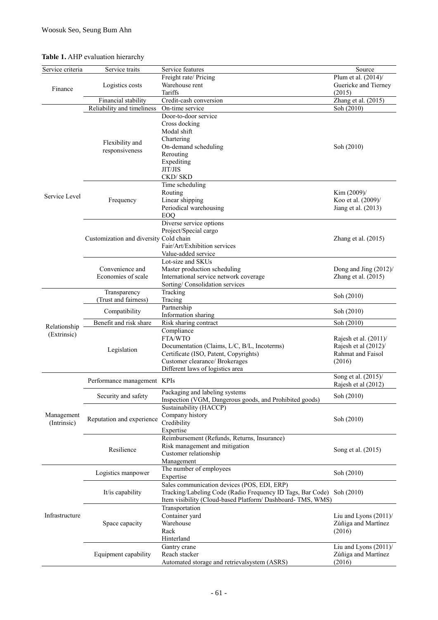### **Table 1.** AHP evaluation hierarchy

| Freight rate/ Pricing<br>Plum et al. (2014)/<br>Warehouse rent<br>Guericke and Tierney<br>Logistics costs<br>Finance<br>Tariffs<br>(2015)<br>Zhang et al. (2015)<br>Financial stability<br>Credit-cash conversion<br>Reliability and timeliness<br>Soh (2010)<br>On-time service<br>Door-to-door service<br>Cross docking<br>Modal shift<br>Chartering<br>Flexibility and<br>On-demand scheduling<br>Soh (2010)<br>responsiveness<br>Rerouting<br>Expediting<br>JIT/JIS<br>CKD/SKD<br>Time scheduling<br>Kim (2009)/<br>Routing<br>Service Level<br>Koo et al. (2009)/<br>Linear shipping<br>Frequency<br>Periodical warehousing<br>Jiang et al. (2013)<br><b>EOO</b><br>Diverse service options<br>Project/Special cargo<br>Customization and diversity Cold chain<br>Zhang et al. (2015)<br>Fair/Art/Exhibition services<br>Value-added service<br>Lot-size and SKUs<br>Convenience and<br>Master production scheduling<br>Dong and Jing (2012)/<br>Economies of scale<br>International service network coverage<br>Zhang et al. (2015)<br>Sorting/Consolidation services<br>Transparency<br>Tracking<br>Soh (2010)<br>(Trust and fairness)<br>Tracing<br>Partnership<br>Compatibility<br>Soh (2010)<br>Information sharing<br>Benefit and risk share<br>Risk sharing contract<br>Soh (2010)<br>Relationship<br>Compliance<br>(Extrinsic)<br>FTA/WTO<br>Rajesh et al. $(2011)$ /<br>Documentation (Claims, L/C, B/L, Incoterms)<br>Rajesh et al (2012)/<br>Legislation<br>Certificate (ISO, Patent, Copyrights)<br>Rahmat and Faisol<br>Customer clearance/ Brokerages<br>(2016)<br>Different laws of logistics area<br>Song et al. (2015)/<br>Performance management KPIs<br>Rajesh et al (2012)<br>Packaging and labeling systems<br>Soh (2010)<br>Security and safety<br>Inspection (VGM, Dangerous goods, and Prohibited goods)<br>Sustainability (HACCP)<br>Company history<br>Management<br>Reputation and experience<br>Soh (2010)<br>(Intrinsic)<br>Credibility<br>Expertise<br>Reimbursement (Refunds, Returns, Insurance)<br>Risk management and mitigation<br>Resilience<br>Song et al. (2015)<br>Customer relationship<br>Management<br>The number of employees<br>Soh (2010)<br>Logistics manpower<br>Expertise<br>Sales communication devices (POS, EDI, ERP)<br>Tracking/Labeling Code (Radio Frequency ID Tags, Bar Code) Soh (2010)<br>It/is capability<br>Item visibility (Cloud-based Platform/ Dashboard- TMS, WMS)<br>Transportation<br>Infrastructure<br>Container yard<br>Liu and Lyons $(2011)$ /<br>Space capacity<br>Warehouse<br>Zúñiga and Martínez<br>Rack<br>(2016)<br>Hinterland<br>Liu and Lyons (2011)/<br>Gantry crane | Service criteria | Service traits | Service features | Source |
|------------------------------------------------------------------------------------------------------------------------------------------------------------------------------------------------------------------------------------------------------------------------------------------------------------------------------------------------------------------------------------------------------------------------------------------------------------------------------------------------------------------------------------------------------------------------------------------------------------------------------------------------------------------------------------------------------------------------------------------------------------------------------------------------------------------------------------------------------------------------------------------------------------------------------------------------------------------------------------------------------------------------------------------------------------------------------------------------------------------------------------------------------------------------------------------------------------------------------------------------------------------------------------------------------------------------------------------------------------------------------------------------------------------------------------------------------------------------------------------------------------------------------------------------------------------------------------------------------------------------------------------------------------------------------------------------------------------------------------------------------------------------------------------------------------------------------------------------------------------------------------------------------------------------------------------------------------------------------------------------------------------------------------------------------------------------------------------------------------------------------------------------------------------------------------------------------------------------------------------------------------------------------------------------------------------------------------------------------------------------------------------------------------------------------------------------------------------------------------------------------------------------------------------------------------------------------------------------------------------------------------------------------------|------------------|----------------|------------------|--------|
|                                                                                                                                                                                                                                                                                                                                                                                                                                                                                                                                                                                                                                                                                                                                                                                                                                                                                                                                                                                                                                                                                                                                                                                                                                                                                                                                                                                                                                                                                                                                                                                                                                                                                                                                                                                                                                                                                                                                                                                                                                                                                                                                                                                                                                                                                                                                                                                                                                                                                                                                                                                                                                                            |                  |                |                  |        |
|                                                                                                                                                                                                                                                                                                                                                                                                                                                                                                                                                                                                                                                                                                                                                                                                                                                                                                                                                                                                                                                                                                                                                                                                                                                                                                                                                                                                                                                                                                                                                                                                                                                                                                                                                                                                                                                                                                                                                                                                                                                                                                                                                                                                                                                                                                                                                                                                                                                                                                                                                                                                                                                            |                  |                |                  |        |
|                                                                                                                                                                                                                                                                                                                                                                                                                                                                                                                                                                                                                                                                                                                                                                                                                                                                                                                                                                                                                                                                                                                                                                                                                                                                                                                                                                                                                                                                                                                                                                                                                                                                                                                                                                                                                                                                                                                                                                                                                                                                                                                                                                                                                                                                                                                                                                                                                                                                                                                                                                                                                                                            |                  |                |                  |        |
|                                                                                                                                                                                                                                                                                                                                                                                                                                                                                                                                                                                                                                                                                                                                                                                                                                                                                                                                                                                                                                                                                                                                                                                                                                                                                                                                                                                                                                                                                                                                                                                                                                                                                                                                                                                                                                                                                                                                                                                                                                                                                                                                                                                                                                                                                                                                                                                                                                                                                                                                                                                                                                                            |                  |                |                  |        |
|                                                                                                                                                                                                                                                                                                                                                                                                                                                                                                                                                                                                                                                                                                                                                                                                                                                                                                                                                                                                                                                                                                                                                                                                                                                                                                                                                                                                                                                                                                                                                                                                                                                                                                                                                                                                                                                                                                                                                                                                                                                                                                                                                                                                                                                                                                                                                                                                                                                                                                                                                                                                                                                            |                  |                |                  |        |
|                                                                                                                                                                                                                                                                                                                                                                                                                                                                                                                                                                                                                                                                                                                                                                                                                                                                                                                                                                                                                                                                                                                                                                                                                                                                                                                                                                                                                                                                                                                                                                                                                                                                                                                                                                                                                                                                                                                                                                                                                                                                                                                                                                                                                                                                                                                                                                                                                                                                                                                                                                                                                                                            |                  |                |                  |        |
|                                                                                                                                                                                                                                                                                                                                                                                                                                                                                                                                                                                                                                                                                                                                                                                                                                                                                                                                                                                                                                                                                                                                                                                                                                                                                                                                                                                                                                                                                                                                                                                                                                                                                                                                                                                                                                                                                                                                                                                                                                                                                                                                                                                                                                                                                                                                                                                                                                                                                                                                                                                                                                                            |                  |                |                  |        |
|                                                                                                                                                                                                                                                                                                                                                                                                                                                                                                                                                                                                                                                                                                                                                                                                                                                                                                                                                                                                                                                                                                                                                                                                                                                                                                                                                                                                                                                                                                                                                                                                                                                                                                                                                                                                                                                                                                                                                                                                                                                                                                                                                                                                                                                                                                                                                                                                                                                                                                                                                                                                                                                            |                  |                |                  |        |
|                                                                                                                                                                                                                                                                                                                                                                                                                                                                                                                                                                                                                                                                                                                                                                                                                                                                                                                                                                                                                                                                                                                                                                                                                                                                                                                                                                                                                                                                                                                                                                                                                                                                                                                                                                                                                                                                                                                                                                                                                                                                                                                                                                                                                                                                                                                                                                                                                                                                                                                                                                                                                                                            |                  |                |                  |        |
|                                                                                                                                                                                                                                                                                                                                                                                                                                                                                                                                                                                                                                                                                                                                                                                                                                                                                                                                                                                                                                                                                                                                                                                                                                                                                                                                                                                                                                                                                                                                                                                                                                                                                                                                                                                                                                                                                                                                                                                                                                                                                                                                                                                                                                                                                                                                                                                                                                                                                                                                                                                                                                                            |                  |                |                  |        |
|                                                                                                                                                                                                                                                                                                                                                                                                                                                                                                                                                                                                                                                                                                                                                                                                                                                                                                                                                                                                                                                                                                                                                                                                                                                                                                                                                                                                                                                                                                                                                                                                                                                                                                                                                                                                                                                                                                                                                                                                                                                                                                                                                                                                                                                                                                                                                                                                                                                                                                                                                                                                                                                            |                  |                |                  |        |
|                                                                                                                                                                                                                                                                                                                                                                                                                                                                                                                                                                                                                                                                                                                                                                                                                                                                                                                                                                                                                                                                                                                                                                                                                                                                                                                                                                                                                                                                                                                                                                                                                                                                                                                                                                                                                                                                                                                                                                                                                                                                                                                                                                                                                                                                                                                                                                                                                                                                                                                                                                                                                                                            |                  |                |                  |        |
|                                                                                                                                                                                                                                                                                                                                                                                                                                                                                                                                                                                                                                                                                                                                                                                                                                                                                                                                                                                                                                                                                                                                                                                                                                                                                                                                                                                                                                                                                                                                                                                                                                                                                                                                                                                                                                                                                                                                                                                                                                                                                                                                                                                                                                                                                                                                                                                                                                                                                                                                                                                                                                                            |                  |                |                  |        |
|                                                                                                                                                                                                                                                                                                                                                                                                                                                                                                                                                                                                                                                                                                                                                                                                                                                                                                                                                                                                                                                                                                                                                                                                                                                                                                                                                                                                                                                                                                                                                                                                                                                                                                                                                                                                                                                                                                                                                                                                                                                                                                                                                                                                                                                                                                                                                                                                                                                                                                                                                                                                                                                            |                  |                |                  |        |
|                                                                                                                                                                                                                                                                                                                                                                                                                                                                                                                                                                                                                                                                                                                                                                                                                                                                                                                                                                                                                                                                                                                                                                                                                                                                                                                                                                                                                                                                                                                                                                                                                                                                                                                                                                                                                                                                                                                                                                                                                                                                                                                                                                                                                                                                                                                                                                                                                                                                                                                                                                                                                                                            |                  |                |                  |        |
|                                                                                                                                                                                                                                                                                                                                                                                                                                                                                                                                                                                                                                                                                                                                                                                                                                                                                                                                                                                                                                                                                                                                                                                                                                                                                                                                                                                                                                                                                                                                                                                                                                                                                                                                                                                                                                                                                                                                                                                                                                                                                                                                                                                                                                                                                                                                                                                                                                                                                                                                                                                                                                                            |                  |                |                  |        |
|                                                                                                                                                                                                                                                                                                                                                                                                                                                                                                                                                                                                                                                                                                                                                                                                                                                                                                                                                                                                                                                                                                                                                                                                                                                                                                                                                                                                                                                                                                                                                                                                                                                                                                                                                                                                                                                                                                                                                                                                                                                                                                                                                                                                                                                                                                                                                                                                                                                                                                                                                                                                                                                            |                  |                |                  |        |
|                                                                                                                                                                                                                                                                                                                                                                                                                                                                                                                                                                                                                                                                                                                                                                                                                                                                                                                                                                                                                                                                                                                                                                                                                                                                                                                                                                                                                                                                                                                                                                                                                                                                                                                                                                                                                                                                                                                                                                                                                                                                                                                                                                                                                                                                                                                                                                                                                                                                                                                                                                                                                                                            |                  |                |                  |        |
|                                                                                                                                                                                                                                                                                                                                                                                                                                                                                                                                                                                                                                                                                                                                                                                                                                                                                                                                                                                                                                                                                                                                                                                                                                                                                                                                                                                                                                                                                                                                                                                                                                                                                                                                                                                                                                                                                                                                                                                                                                                                                                                                                                                                                                                                                                                                                                                                                                                                                                                                                                                                                                                            |                  |                |                  |        |
|                                                                                                                                                                                                                                                                                                                                                                                                                                                                                                                                                                                                                                                                                                                                                                                                                                                                                                                                                                                                                                                                                                                                                                                                                                                                                                                                                                                                                                                                                                                                                                                                                                                                                                                                                                                                                                                                                                                                                                                                                                                                                                                                                                                                                                                                                                                                                                                                                                                                                                                                                                                                                                                            |                  |                |                  |        |
|                                                                                                                                                                                                                                                                                                                                                                                                                                                                                                                                                                                                                                                                                                                                                                                                                                                                                                                                                                                                                                                                                                                                                                                                                                                                                                                                                                                                                                                                                                                                                                                                                                                                                                                                                                                                                                                                                                                                                                                                                                                                                                                                                                                                                                                                                                                                                                                                                                                                                                                                                                                                                                                            |                  |                |                  |        |
|                                                                                                                                                                                                                                                                                                                                                                                                                                                                                                                                                                                                                                                                                                                                                                                                                                                                                                                                                                                                                                                                                                                                                                                                                                                                                                                                                                                                                                                                                                                                                                                                                                                                                                                                                                                                                                                                                                                                                                                                                                                                                                                                                                                                                                                                                                                                                                                                                                                                                                                                                                                                                                                            |                  |                |                  |        |
|                                                                                                                                                                                                                                                                                                                                                                                                                                                                                                                                                                                                                                                                                                                                                                                                                                                                                                                                                                                                                                                                                                                                                                                                                                                                                                                                                                                                                                                                                                                                                                                                                                                                                                                                                                                                                                                                                                                                                                                                                                                                                                                                                                                                                                                                                                                                                                                                                                                                                                                                                                                                                                                            |                  |                |                  |        |
|                                                                                                                                                                                                                                                                                                                                                                                                                                                                                                                                                                                                                                                                                                                                                                                                                                                                                                                                                                                                                                                                                                                                                                                                                                                                                                                                                                                                                                                                                                                                                                                                                                                                                                                                                                                                                                                                                                                                                                                                                                                                                                                                                                                                                                                                                                                                                                                                                                                                                                                                                                                                                                                            |                  |                |                  |        |
|                                                                                                                                                                                                                                                                                                                                                                                                                                                                                                                                                                                                                                                                                                                                                                                                                                                                                                                                                                                                                                                                                                                                                                                                                                                                                                                                                                                                                                                                                                                                                                                                                                                                                                                                                                                                                                                                                                                                                                                                                                                                                                                                                                                                                                                                                                                                                                                                                                                                                                                                                                                                                                                            |                  |                |                  |        |
|                                                                                                                                                                                                                                                                                                                                                                                                                                                                                                                                                                                                                                                                                                                                                                                                                                                                                                                                                                                                                                                                                                                                                                                                                                                                                                                                                                                                                                                                                                                                                                                                                                                                                                                                                                                                                                                                                                                                                                                                                                                                                                                                                                                                                                                                                                                                                                                                                                                                                                                                                                                                                                                            |                  |                |                  |        |
|                                                                                                                                                                                                                                                                                                                                                                                                                                                                                                                                                                                                                                                                                                                                                                                                                                                                                                                                                                                                                                                                                                                                                                                                                                                                                                                                                                                                                                                                                                                                                                                                                                                                                                                                                                                                                                                                                                                                                                                                                                                                                                                                                                                                                                                                                                                                                                                                                                                                                                                                                                                                                                                            |                  |                |                  |        |
|                                                                                                                                                                                                                                                                                                                                                                                                                                                                                                                                                                                                                                                                                                                                                                                                                                                                                                                                                                                                                                                                                                                                                                                                                                                                                                                                                                                                                                                                                                                                                                                                                                                                                                                                                                                                                                                                                                                                                                                                                                                                                                                                                                                                                                                                                                                                                                                                                                                                                                                                                                                                                                                            |                  |                |                  |        |
|                                                                                                                                                                                                                                                                                                                                                                                                                                                                                                                                                                                                                                                                                                                                                                                                                                                                                                                                                                                                                                                                                                                                                                                                                                                                                                                                                                                                                                                                                                                                                                                                                                                                                                                                                                                                                                                                                                                                                                                                                                                                                                                                                                                                                                                                                                                                                                                                                                                                                                                                                                                                                                                            |                  |                |                  |        |
|                                                                                                                                                                                                                                                                                                                                                                                                                                                                                                                                                                                                                                                                                                                                                                                                                                                                                                                                                                                                                                                                                                                                                                                                                                                                                                                                                                                                                                                                                                                                                                                                                                                                                                                                                                                                                                                                                                                                                                                                                                                                                                                                                                                                                                                                                                                                                                                                                                                                                                                                                                                                                                                            |                  |                |                  |        |
|                                                                                                                                                                                                                                                                                                                                                                                                                                                                                                                                                                                                                                                                                                                                                                                                                                                                                                                                                                                                                                                                                                                                                                                                                                                                                                                                                                                                                                                                                                                                                                                                                                                                                                                                                                                                                                                                                                                                                                                                                                                                                                                                                                                                                                                                                                                                                                                                                                                                                                                                                                                                                                                            |                  |                |                  |        |
|                                                                                                                                                                                                                                                                                                                                                                                                                                                                                                                                                                                                                                                                                                                                                                                                                                                                                                                                                                                                                                                                                                                                                                                                                                                                                                                                                                                                                                                                                                                                                                                                                                                                                                                                                                                                                                                                                                                                                                                                                                                                                                                                                                                                                                                                                                                                                                                                                                                                                                                                                                                                                                                            |                  |                |                  |        |
|                                                                                                                                                                                                                                                                                                                                                                                                                                                                                                                                                                                                                                                                                                                                                                                                                                                                                                                                                                                                                                                                                                                                                                                                                                                                                                                                                                                                                                                                                                                                                                                                                                                                                                                                                                                                                                                                                                                                                                                                                                                                                                                                                                                                                                                                                                                                                                                                                                                                                                                                                                                                                                                            |                  |                |                  |        |
|                                                                                                                                                                                                                                                                                                                                                                                                                                                                                                                                                                                                                                                                                                                                                                                                                                                                                                                                                                                                                                                                                                                                                                                                                                                                                                                                                                                                                                                                                                                                                                                                                                                                                                                                                                                                                                                                                                                                                                                                                                                                                                                                                                                                                                                                                                                                                                                                                                                                                                                                                                                                                                                            |                  |                |                  |        |
|                                                                                                                                                                                                                                                                                                                                                                                                                                                                                                                                                                                                                                                                                                                                                                                                                                                                                                                                                                                                                                                                                                                                                                                                                                                                                                                                                                                                                                                                                                                                                                                                                                                                                                                                                                                                                                                                                                                                                                                                                                                                                                                                                                                                                                                                                                                                                                                                                                                                                                                                                                                                                                                            |                  |                |                  |        |
|                                                                                                                                                                                                                                                                                                                                                                                                                                                                                                                                                                                                                                                                                                                                                                                                                                                                                                                                                                                                                                                                                                                                                                                                                                                                                                                                                                                                                                                                                                                                                                                                                                                                                                                                                                                                                                                                                                                                                                                                                                                                                                                                                                                                                                                                                                                                                                                                                                                                                                                                                                                                                                                            |                  |                |                  |        |
|                                                                                                                                                                                                                                                                                                                                                                                                                                                                                                                                                                                                                                                                                                                                                                                                                                                                                                                                                                                                                                                                                                                                                                                                                                                                                                                                                                                                                                                                                                                                                                                                                                                                                                                                                                                                                                                                                                                                                                                                                                                                                                                                                                                                                                                                                                                                                                                                                                                                                                                                                                                                                                                            |                  |                |                  |        |
|                                                                                                                                                                                                                                                                                                                                                                                                                                                                                                                                                                                                                                                                                                                                                                                                                                                                                                                                                                                                                                                                                                                                                                                                                                                                                                                                                                                                                                                                                                                                                                                                                                                                                                                                                                                                                                                                                                                                                                                                                                                                                                                                                                                                                                                                                                                                                                                                                                                                                                                                                                                                                                                            |                  |                |                  |        |
|                                                                                                                                                                                                                                                                                                                                                                                                                                                                                                                                                                                                                                                                                                                                                                                                                                                                                                                                                                                                                                                                                                                                                                                                                                                                                                                                                                                                                                                                                                                                                                                                                                                                                                                                                                                                                                                                                                                                                                                                                                                                                                                                                                                                                                                                                                                                                                                                                                                                                                                                                                                                                                                            |                  |                |                  |        |
|                                                                                                                                                                                                                                                                                                                                                                                                                                                                                                                                                                                                                                                                                                                                                                                                                                                                                                                                                                                                                                                                                                                                                                                                                                                                                                                                                                                                                                                                                                                                                                                                                                                                                                                                                                                                                                                                                                                                                                                                                                                                                                                                                                                                                                                                                                                                                                                                                                                                                                                                                                                                                                                            |                  |                |                  |        |
|                                                                                                                                                                                                                                                                                                                                                                                                                                                                                                                                                                                                                                                                                                                                                                                                                                                                                                                                                                                                                                                                                                                                                                                                                                                                                                                                                                                                                                                                                                                                                                                                                                                                                                                                                                                                                                                                                                                                                                                                                                                                                                                                                                                                                                                                                                                                                                                                                                                                                                                                                                                                                                                            |                  |                |                  |        |
|                                                                                                                                                                                                                                                                                                                                                                                                                                                                                                                                                                                                                                                                                                                                                                                                                                                                                                                                                                                                                                                                                                                                                                                                                                                                                                                                                                                                                                                                                                                                                                                                                                                                                                                                                                                                                                                                                                                                                                                                                                                                                                                                                                                                                                                                                                                                                                                                                                                                                                                                                                                                                                                            |                  |                |                  |        |
|                                                                                                                                                                                                                                                                                                                                                                                                                                                                                                                                                                                                                                                                                                                                                                                                                                                                                                                                                                                                                                                                                                                                                                                                                                                                                                                                                                                                                                                                                                                                                                                                                                                                                                                                                                                                                                                                                                                                                                                                                                                                                                                                                                                                                                                                                                                                                                                                                                                                                                                                                                                                                                                            |                  |                |                  |        |
|                                                                                                                                                                                                                                                                                                                                                                                                                                                                                                                                                                                                                                                                                                                                                                                                                                                                                                                                                                                                                                                                                                                                                                                                                                                                                                                                                                                                                                                                                                                                                                                                                                                                                                                                                                                                                                                                                                                                                                                                                                                                                                                                                                                                                                                                                                                                                                                                                                                                                                                                                                                                                                                            |                  |                |                  |        |
|                                                                                                                                                                                                                                                                                                                                                                                                                                                                                                                                                                                                                                                                                                                                                                                                                                                                                                                                                                                                                                                                                                                                                                                                                                                                                                                                                                                                                                                                                                                                                                                                                                                                                                                                                                                                                                                                                                                                                                                                                                                                                                                                                                                                                                                                                                                                                                                                                                                                                                                                                                                                                                                            |                  |                |                  |        |
|                                                                                                                                                                                                                                                                                                                                                                                                                                                                                                                                                                                                                                                                                                                                                                                                                                                                                                                                                                                                                                                                                                                                                                                                                                                                                                                                                                                                                                                                                                                                                                                                                                                                                                                                                                                                                                                                                                                                                                                                                                                                                                                                                                                                                                                                                                                                                                                                                                                                                                                                                                                                                                                            |                  |                |                  |        |
|                                                                                                                                                                                                                                                                                                                                                                                                                                                                                                                                                                                                                                                                                                                                                                                                                                                                                                                                                                                                                                                                                                                                                                                                                                                                                                                                                                                                                                                                                                                                                                                                                                                                                                                                                                                                                                                                                                                                                                                                                                                                                                                                                                                                                                                                                                                                                                                                                                                                                                                                                                                                                                                            |                  |                |                  |        |
|                                                                                                                                                                                                                                                                                                                                                                                                                                                                                                                                                                                                                                                                                                                                                                                                                                                                                                                                                                                                                                                                                                                                                                                                                                                                                                                                                                                                                                                                                                                                                                                                                                                                                                                                                                                                                                                                                                                                                                                                                                                                                                                                                                                                                                                                                                                                                                                                                                                                                                                                                                                                                                                            |                  |                |                  |        |
|                                                                                                                                                                                                                                                                                                                                                                                                                                                                                                                                                                                                                                                                                                                                                                                                                                                                                                                                                                                                                                                                                                                                                                                                                                                                                                                                                                                                                                                                                                                                                                                                                                                                                                                                                                                                                                                                                                                                                                                                                                                                                                                                                                                                                                                                                                                                                                                                                                                                                                                                                                                                                                                            |                  |                |                  |        |
|                                                                                                                                                                                                                                                                                                                                                                                                                                                                                                                                                                                                                                                                                                                                                                                                                                                                                                                                                                                                                                                                                                                                                                                                                                                                                                                                                                                                                                                                                                                                                                                                                                                                                                                                                                                                                                                                                                                                                                                                                                                                                                                                                                                                                                                                                                                                                                                                                                                                                                                                                                                                                                                            |                  |                |                  |        |
|                                                                                                                                                                                                                                                                                                                                                                                                                                                                                                                                                                                                                                                                                                                                                                                                                                                                                                                                                                                                                                                                                                                                                                                                                                                                                                                                                                                                                                                                                                                                                                                                                                                                                                                                                                                                                                                                                                                                                                                                                                                                                                                                                                                                                                                                                                                                                                                                                                                                                                                                                                                                                                                            |                  |                |                  |        |
|                                                                                                                                                                                                                                                                                                                                                                                                                                                                                                                                                                                                                                                                                                                                                                                                                                                                                                                                                                                                                                                                                                                                                                                                                                                                                                                                                                                                                                                                                                                                                                                                                                                                                                                                                                                                                                                                                                                                                                                                                                                                                                                                                                                                                                                                                                                                                                                                                                                                                                                                                                                                                                                            |                  |                |                  |        |
|                                                                                                                                                                                                                                                                                                                                                                                                                                                                                                                                                                                                                                                                                                                                                                                                                                                                                                                                                                                                                                                                                                                                                                                                                                                                                                                                                                                                                                                                                                                                                                                                                                                                                                                                                                                                                                                                                                                                                                                                                                                                                                                                                                                                                                                                                                                                                                                                                                                                                                                                                                                                                                                            |                  |                |                  |        |
|                                                                                                                                                                                                                                                                                                                                                                                                                                                                                                                                                                                                                                                                                                                                                                                                                                                                                                                                                                                                                                                                                                                                                                                                                                                                                                                                                                                                                                                                                                                                                                                                                                                                                                                                                                                                                                                                                                                                                                                                                                                                                                                                                                                                                                                                                                                                                                                                                                                                                                                                                                                                                                                            |                  |                |                  |        |
|                                                                                                                                                                                                                                                                                                                                                                                                                                                                                                                                                                                                                                                                                                                                                                                                                                                                                                                                                                                                                                                                                                                                                                                                                                                                                                                                                                                                                                                                                                                                                                                                                                                                                                                                                                                                                                                                                                                                                                                                                                                                                                                                                                                                                                                                                                                                                                                                                                                                                                                                                                                                                                                            |                  |                |                  |        |
|                                                                                                                                                                                                                                                                                                                                                                                                                                                                                                                                                                                                                                                                                                                                                                                                                                                                                                                                                                                                                                                                                                                                                                                                                                                                                                                                                                                                                                                                                                                                                                                                                                                                                                                                                                                                                                                                                                                                                                                                                                                                                                                                                                                                                                                                                                                                                                                                                                                                                                                                                                                                                                                            |                  |                |                  |        |
|                                                                                                                                                                                                                                                                                                                                                                                                                                                                                                                                                                                                                                                                                                                                                                                                                                                                                                                                                                                                                                                                                                                                                                                                                                                                                                                                                                                                                                                                                                                                                                                                                                                                                                                                                                                                                                                                                                                                                                                                                                                                                                                                                                                                                                                                                                                                                                                                                                                                                                                                                                                                                                                            |                  |                |                  |        |
|                                                                                                                                                                                                                                                                                                                                                                                                                                                                                                                                                                                                                                                                                                                                                                                                                                                                                                                                                                                                                                                                                                                                                                                                                                                                                                                                                                                                                                                                                                                                                                                                                                                                                                                                                                                                                                                                                                                                                                                                                                                                                                                                                                                                                                                                                                                                                                                                                                                                                                                                                                                                                                                            |                  |                |                  |        |
|                                                                                                                                                                                                                                                                                                                                                                                                                                                                                                                                                                                                                                                                                                                                                                                                                                                                                                                                                                                                                                                                                                                                                                                                                                                                                                                                                                                                                                                                                                                                                                                                                                                                                                                                                                                                                                                                                                                                                                                                                                                                                                                                                                                                                                                                                                                                                                                                                                                                                                                                                                                                                                                            |                  |                |                  |        |
|                                                                                                                                                                                                                                                                                                                                                                                                                                                                                                                                                                                                                                                                                                                                                                                                                                                                                                                                                                                                                                                                                                                                                                                                                                                                                                                                                                                                                                                                                                                                                                                                                                                                                                                                                                                                                                                                                                                                                                                                                                                                                                                                                                                                                                                                                                                                                                                                                                                                                                                                                                                                                                                            |                  |                |                  |        |
|                                                                                                                                                                                                                                                                                                                                                                                                                                                                                                                                                                                                                                                                                                                                                                                                                                                                                                                                                                                                                                                                                                                                                                                                                                                                                                                                                                                                                                                                                                                                                                                                                                                                                                                                                                                                                                                                                                                                                                                                                                                                                                                                                                                                                                                                                                                                                                                                                                                                                                                                                                                                                                                            |                  |                |                  |        |
| Equipment capability<br>Zúñiga and Martínez<br>Reach stacker                                                                                                                                                                                                                                                                                                                                                                                                                                                                                                                                                                                                                                                                                                                                                                                                                                                                                                                                                                                                                                                                                                                                                                                                                                                                                                                                                                                                                                                                                                                                                                                                                                                                                                                                                                                                                                                                                                                                                                                                                                                                                                                                                                                                                                                                                                                                                                                                                                                                                                                                                                                               |                  |                |                  |        |
| Automated storage and retrievalsystem (ASRS)<br>(2016)                                                                                                                                                                                                                                                                                                                                                                                                                                                                                                                                                                                                                                                                                                                                                                                                                                                                                                                                                                                                                                                                                                                                                                                                                                                                                                                                                                                                                                                                                                                                                                                                                                                                                                                                                                                                                                                                                                                                                                                                                                                                                                                                                                                                                                                                                                                                                                                                                                                                                                                                                                                                     |                  |                |                  |        |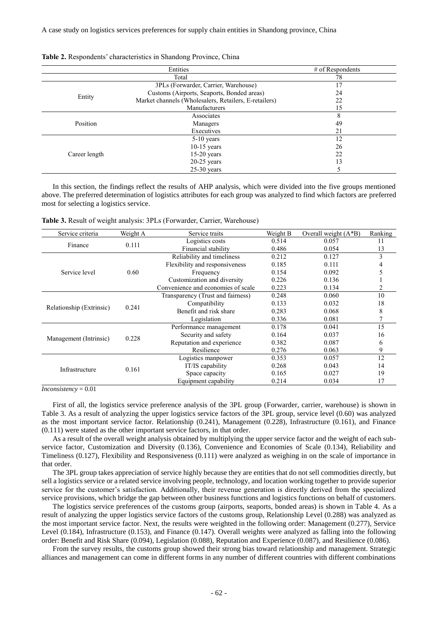A case study on logistics services preferences for supply chain entities in Shandong province, China

|               | Entities                                              | $#$ of Respondents |
|---------------|-------------------------------------------------------|--------------------|
|               | Total                                                 |                    |
|               | 3PLs (Forwarder, Carrier, Warehouse)                  |                    |
|               | Customs (Airports, Seaports, Bonded areas)            |                    |
| Entity        | Market channels (Wholesalers, Retailers, E-retailers) |                    |
|               | Manufacturers                                         |                    |
|               | Associates                                            |                    |
| Position      | Managers                                              |                    |
|               | Executives                                            |                    |
| Career length | $5-10$ years                                          |                    |
|               | $10-15$ years                                         |                    |
|               | $15-20$ years                                         |                    |
|               | $20-25$ years                                         |                    |
|               | $25-30$ vears                                         |                    |

**Table 2.** Respondents' characteristics in Shandong Province, China

In this section, the findings reflect the results of AHP analysis, which were divided into the five groups mentioned above. The preferred determination of logistics attributes for each group was analyzed to find which factors are preferred most for selecting a logistics service.

**Table 3.** Result of weight analysis: 3PLs (Forwarder, Carrier, Warehouse)

| Service criteria         | Weight A | Service traits                     | Weight B | Overall weight $(A*B)$ | Ranking |
|--------------------------|----------|------------------------------------|----------|------------------------|---------|
|                          | 0.111    | Logistics costs                    | 0.514    | 0.057                  | 11      |
| Finance                  |          | Financial stability                | 0.486    | 0.054                  | 13      |
|                          | 0.60     | Reliability and timeliness         | 0.212    | 0.127                  | 3       |
|                          |          | Flexibility and responsiveness     | 0.185    | 0.111                  |         |
| Service level            |          | Frequency                          | 0.154    | 0.092                  |         |
|                          |          | Customization and diversity        | 0.226    | 0.136                  |         |
|                          |          | Convenience and economies of scale | 0.223    | 0.134                  |         |
|                          | 0.241    | Transparency (Trust and fairness)  | 0.248    | 0.060                  | 10      |
|                          |          | Compatibility                      | 0.133    | 0.032                  | 18      |
| Relationship (Extrinsic) |          | Benefit and risk share             | 0.283    | 0.068                  | 8       |
|                          |          | Legislation                        | 0.336    | 0.081                  |         |
|                          | 0.228    | Performance management             | 0.178    | 0.041                  | 15      |
|                          |          | Security and safety                | 0.164    | 0.037                  | 16      |
| Management (Intrinsic)   |          | Reputation and experience          | 0.382    | 0.087                  | 6       |
|                          |          | Resilience                         | 0.276    | 0.063                  | 9       |
|                          | 0.161    | Logistics manpower                 | 0.353    | 0.057                  | 12      |
| Infrastructure           |          | IT/IS capability                   | 0.268    | 0.043                  | 14      |
|                          |          | Space capacity                     | 0.165    | 0.027                  | 19      |
|                          |          | Equipment capability               | 0.214    | 0.034                  | 17      |

*Inconsistency* = 0.01

First of all, the logistics service preference analysis of the 3PL group (Forwarder, carrier, warehouse) is shown in Table 3. As a result of analyzing the upper logistics service factors of the 3PL group, service level (0.60) was analyzed as the most important service factor. Relationship (0.241), Management (0.228), Infrastructure (0.161), and Finance (0.111) were stated as the other important service factors, in that order.

As a result of the overall weight analysis obtained by multiplying the upper service factor and the weight of each subservice factor, Customization and Diversity (0.136), Convenience and Economies of Scale (0.134), Reliability and Timeliness (0.127), Flexibility and Responsiveness (0.111) were analyzed as weighing in on the scale of importance in that order.

The 3PL group takes appreciation of service highly because they are entities that do not sell commodities directly, but sell a logistics service or a related service involving people, technology, and location working together to provide superior service for the customer's satisfaction. Additionally, their revenue generation is directly derived from the specialized service provisions, which bridge the gap between other business functions and logistics functions on behalf of customers.

The logistics service preferences of the customs group (airports, seaports, bonded areas) is shown in Table 4. As a result of analyzing the upper logistics service factors of the customs group, Relationship Level (0.288) was analyzed as the most important service factor. Next, the results were weighted in the following order: Management (0.277), Service Level (0.184), Infrastructure (0.153), and Finance (0.147). Overall weights were analyzed as falling into the following order: Benefit and Risk Share (0.094), Legislation (0.088), Reputation and Experience (0.087), and Resilience (0.086).

From the survey results, the customs group showed their strong bias toward relationship and management. Strategic alliances and management can come in different forms in any number of different countries with different combinations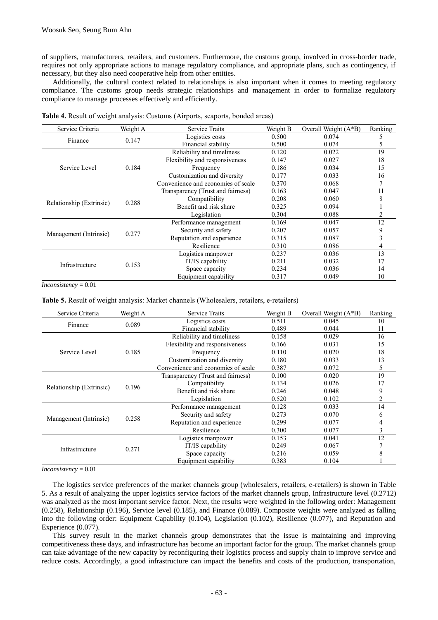of suppliers, manufacturers, retailers, and customers. Furthermore, the customs group, involved in cross-border trade, requires not only appropriate actions to manage regulatory compliance, and appropriate plans, such as contingency, if necessary, but they also need cooperative help from other entities.

Additionally, the cultural context related to relationships is also important when it comes to meeting regulatory compliance. The customs group needs strategic relationships and management in order to formalize regulatory compliance to manage processes effectively and efficiently.

| Service Criteria         | Weight A | <b>Service Traits</b>              | Weight B | Overall Weight $(A*B)$ | Ranking |
|--------------------------|----------|------------------------------------|----------|------------------------|---------|
| Finance                  | 0.147    | Logistics costs                    | 0.500    | 0.074                  |         |
|                          |          | Financial stability                | 0.500    | 0.074                  |         |
|                          | 0.184    | Reliability and timeliness         | 0.120    | 0.022                  | 19      |
|                          |          | Flexibility and responsiveness     | 0.147    | 0.027                  | 18      |
| Service Level            |          | Frequency                          | 0.186    | 0.034                  | 15      |
|                          |          | Customization and diversity        | 0.177    | 0.033                  | 16      |
|                          |          | Convenience and economies of scale | 0.370    | 0.068                  |         |
|                          | 0.288    | Transparency (Trust and fairness)  | 0.163    | 0.047                  | 11      |
| Relationship (Extrinsic) |          | Compatibility                      | 0.208    | 0.060                  |         |
|                          |          | Benefit and risk share             | 0.325    | 0.094                  |         |
|                          |          | Legislation                        | 0.304    | 0.088                  |         |
|                          | 0.277    | Performance management             | 0.169    | 0.047                  | 12      |
| Management (Intrinsic)   |          | Security and safety                | 0.207    | 0.057                  | 9       |
|                          |          | Reputation and experience          | 0.315    | 0.087                  |         |
|                          |          | Resilience                         | 0.310    | 0.086                  | 4       |
|                          | 0.153    | Logistics manpower                 | 0.237    | 0.036                  | 13      |
| Infrastructure           |          | IT/IS capability                   | 0.211    | 0.032                  | 17      |
|                          |          | Space capacity                     | 0.234    | 0.036                  | 14      |
|                          |          | Equipment capability               | 0.317    | 0.049                  | 10      |

**Table 4.** Result of weight analysis: Customs (Airports, seaports, bonded areas)

*Inconsistency* = 0.01

Table 5. Result of weight analysis: Market channels (Wholesalers, retailers, e-retailers)

| Service Criteria         | Weight A | <b>Service Traits</b>              | Weight B | Overall Weight (A*B) | Ranking |
|--------------------------|----------|------------------------------------|----------|----------------------|---------|
|                          | 0.089    | Logistics costs                    | 0.511    | 0.045                | 10      |
| Finance                  |          | Financial stability                | 0.489    | 0.044                | 11      |
|                          | 0.185    | Reliability and timeliness         | 0.158    | 0.029                | 16      |
|                          |          | Flexibility and responsiveness     | 0.166    | 0.031                | 15      |
| Service Level            |          | Frequency                          | 0.110    | 0.020                | 18      |
|                          |          | Customization and diversity        | 0.180    | 0.033                | 13      |
|                          |          | Convenience and economies of scale | 0.387    | 0.072                | 5       |
|                          | 0.196    | Transparency (Trust and fairness)  | 0.100    | 0.020                | 19      |
| Relationship (Extrinsic) |          | Compatibility                      | 0.134    | 0.026                | 17      |
|                          |          | Benefit and risk share             | 0.246    | 0.048                | 9       |
|                          |          | Legislation                        | 0.520    | 0.102                |         |
|                          | 0.258    | Performance management             | 0.128    | 0.033                | 14      |
| Management (Intrinsic)   |          | Security and safety                | 0.273    | 0.070                |         |
|                          |          | Reputation and experience          | 0.299    | 0.077                |         |
|                          |          | Resilience                         | 0.300    | 0.077                | 3       |
|                          | 0.271    | Logistics manpower                 | 0.153    | 0.041                | 12      |
| Infrastructure           |          | IT/IS capability                   | 0.249    | 0.067                |         |
|                          |          | Space capacity                     | 0.216    | 0.059                |         |
|                          |          | Equipment capability               | 0.383    | 0.104                |         |

*Inconsistency* = 0.01

The logistics service preferences of the market channels group (wholesalers, retailers, e-retailers) is shown in Table 5. As a result of analyzing the upper logistics service factors of the market channels group, Infrastructure level (0.2712) was analyzed as the most important service factor. Next, the results were weighted in the following order: Management (0.258), Relationship (0.196), Service level (0.185), and Finance (0.089). Composite weights were analyzed as falling into the following order: Equipment Capability (0.104), Legislation (0.102), Resilience (0.077), and Reputation and Experience (0.077).

This survey result in the market channels group demonstrates that the issue is maintaining and improving competitiveness these days, and infrastructure has become an important factor for the group. The market channels group can take advantage of the new capacity by reconfiguring their logistics process and supply chain to improve service and reduce costs. Accordingly, a good infrastructure can impact the benefits and costs of the production, transportation,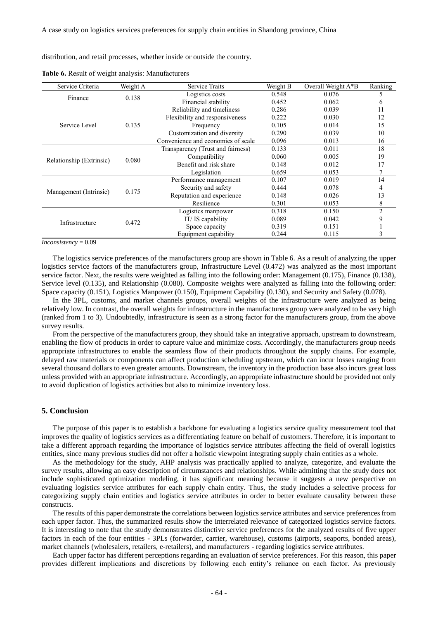distribution, and retail processes, whether inside or outside the country.

| Service Criteria         | Weight A | <b>Service Traits</b>              | Weight B | Overall Weight A*B | Ranking        |
|--------------------------|----------|------------------------------------|----------|--------------------|----------------|
| Finance                  | 0.138    | Logistics costs                    | 0.548    | 0.076              |                |
|                          |          | Financial stability                | 0.452    | 0.062              | 6              |
|                          | 0.135    | Reliability and timeliness         | 0.286    | 0.039              | 11             |
|                          |          | Flexibility and responsiveness     | 0.222    | 0.030              | 12             |
| Service Level            |          | Frequency                          | 0.105    | 0.014              | 15             |
|                          |          | Customization and diversity        | 0.290    | 0.039              | 10             |
|                          |          | Convenience and economies of scale | 0.096    | 0.013              | 16             |
|                          | 0.080    | Transparency (Trust and fairness)  | 0.133    | 0.011              | 18             |
|                          |          | Compatibility                      | 0.060    | 0.005              | 19             |
| Relationship (Extrinsic) |          | Benefit and risk share             | 0.148    | 0.012              | 17             |
|                          |          | Legislation                        | 0.659    | 0.053              |                |
|                          | 0.175    | Performance management             | 0.107    | 0.019              | 14             |
|                          |          | Security and safety                | 0.444    | 0.078              |                |
| Management (Intrinsic)   |          | Reputation and experience          | 0.148    | 0.026              | 13             |
|                          |          | Resilience                         | 0.301    | 0.053              | 8              |
|                          | 0.472    | Logistics manpower                 | 0.318    | 0.150              | $\mathfrak{D}$ |
|                          |          | IT/IS capability                   | 0.089    | 0.042              |                |
| Infrastructure           |          | Space capacity                     | 0.319    | 0.151              |                |
|                          |          | Equipment capability               | 0.244    | 0.115              |                |

**Table 6.** Result of weight analysis: Manufacturers

*Inconsistency* = 0.09

The logistics service preferences of the manufacturers group are shown in Table 6. As a result of analyzing the upper logistics service factors of the manufacturers group, Infrastructure Level (0.472) was analyzed as the most important service factor. Next, the results were weighted as falling into the following order: Management (0.175), Finance (0.138), Service level (0.135), and Relationship (0.080). Composite weights were analyzed as falling into the following order: Space capacity (0.151), Logistics Manpower (0.150), Equipment Capability (0.130), and Security and Safety (0.078).

In the 3PL, customs, and market channels groups, overall weights of the infrastructure were analyzed as being relatively low. In contrast, the overall weights for infrastructure in the manufacturers group were analyzed to be very high (ranked from 1 to 3). Undoubtedly, infrastructure is seen as a strong factor for the manufacturers group, from the above survey results.

From the perspective of the manufacturers group, they should take an integrative approach, upstream to downstream, enabling the flow of products in order to capture value and minimize costs. Accordingly, the manufacturers group needs appropriate infrastructures to enable the seamless flow of their products throughout the supply chains. For example, delayed raw materials or components can affect production scheduling upstream, which can incur losses ranging from several thousand dollars to even greater amounts. Downstream, the inventory in the production base also incurs great loss unless provided with an appropriate infrastructure. Accordingly, an appropriate infrastructure should be provided not only to avoid duplication of logistics activities but also to minimize inventory loss.

#### **5. Conclusion**

The purpose of this paper is to establish a backbone for evaluating a logistics service quality measurement tool that improves the quality of logistics services as a differentiating feature on behalf of customers. Therefore, it is important to take a different approach regarding the importance of logistics service attributes affecting the field of overall logistics entities, since many previous studies did not offer a holistic viewpoint integrating supply chain entities as a whole.

As the methodology for the study, AHP analysis was practically applied to analyze, categorize, and evaluate the survey results, allowing an easy description of circumstances and relationships. While admitting that the study does not include sophisticated optimization modeling, it has significant meaning because it suggests a new perspective on evaluating logistics service attributes for each supply chain entity. Thus, the study includes a selective process for categorizing supply chain entities and logistics service attributes in order to better evaluate causality between these constructs.

The results of this paper demonstrate the correlations between logistics service attributes and service preferences from each upper factor. Thus, the summarized results show the interrelated relevance of categorized logistics service factors. It is interesting to note that the study demonstrates distinctive service preferences for the analyzed results of five upper factors in each of the four entities - 3PLs (forwarder, carrier, warehouse), customs (airports, seaports, bonded areas), market channels (wholesalers, retailers, e-retailers), and manufacturers - regarding logistics service attributes.

Each upper factor has different perceptions regarding an evaluation of service preferences. For this reason, this paper provides different implications and discretions by following each entity's reliance on each factor. As previously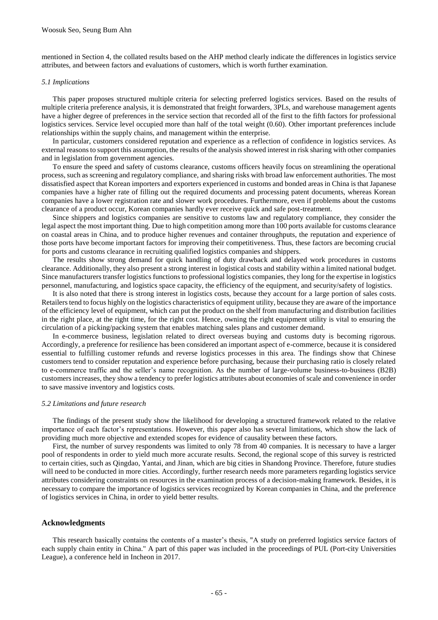mentioned in Section 4, the collated results based on the AHP method clearly indicate the differences in logistics service attributes, and between factors and evaluations of customers, which is worth further examination.

#### *5.1 Implications*

This paper proposes structured multiple criteria for selecting preferred logistics services. Based on the results of multiple criteria preference analysis, it is demonstrated that freight forwarders, 3PLs, and warehouse management agents have a higher degree of preferences in the service section that recorded all of the first to the fifth factors for professional logistics services. Service level occupied more than half of the total weight (0.60). Other important preferences include relationships within the supply chains, and management within the enterprise.

In particular, customers considered reputation and experience as a reflection of confidence in logistics services. As external reasons to support this assumption, the results of the analysis showed interest in risk sharing with other companies and in legislation from government agencies.

To ensure the speed and safety of customs clearance, customs officers heavily focus on streamlining the operational process, such as screening and regulatory compliance, and sharing risks with broad law enforcement authorities. The most dissatisfied aspect that Korean importers and exporters experienced in customs and bonded areas in China is that Japanese companies have a higher rate of filling out the required documents and processing patent documents, whereas Korean companies have a lower registration rate and slower work procedures. Furthermore, even if problems about the customs clearance of a product occur, Korean companies hardly ever receive quick and safe post-treatment.

Since shippers and logistics companies are sensitive to customs law and regulatory compliance, they consider the legal aspect the most important thing. Due to high competition among more than 100 ports available for customs clearance on coastal areas in China, and to produce higher revenues and container throughputs, the reputation and experience of those ports have become important factors for improving their competitiveness. Thus, these factors are becoming crucial for ports and customs clearance in recruiting qualified logistics companies and shippers.

The results show strong demand for quick handling of duty drawback and delayed work procedures in customs clearance. Additionally, they also present a strong interest in logistical costs and stability within a limited national budget. Since manufacturers transfer logistics functions to professional logistics companies, they long for the expertise in logistics personnel, manufacturing, and logistics space capacity, the efficiency of the equipment, and security/safety of logistics.

It is also noted that there is strong interest in logistics costs, because they account for a large portion of sales costs. Retailers tend to focus highly on the logistics characteristics of equipment utility, because they are aware of the importance of the efficiency level of equipment, which can put the product on the shelf from manufacturing and distribution facilities in the right place, at the right time, for the right cost. Hence, owning the right equipment utility is vital to ensuring the circulation of a picking/packing system that enables matching sales plans and customer demand.

In e-commerce business, legislation related to direct overseas buying and customs duty is becoming rigorous. Accordingly, a preference for resilience has been considered an important aspect of e-commerce, because it is considered essential to fulfilling customer refunds and reverse logistics processes in this area. The findings show that Chinese customers tend to consider reputation and experience before purchasing, because their purchasing ratio is closely related to e-commerce traffic and the seller's name recognition. As the number of large-volume business-to-business (B2B) customers increases, they show a tendency to prefer logistics attributes about economies of scale and convenience in order to save massive inventory and logistics costs.

#### *5.2 Limitations and future research*

The findings of the present study show the likelihood for developing a structured framework related to the relative importance of each factor's representations. However, this paper also has several limitations, which show the lack of providing much more objective and extended scopes for evidence of causality between these factors.

First, the number of survey respondents was limited to only 78 from 40 companies. It is necessary to have a larger pool of respondents in order to yield much more accurate results. Second, the regional scope of this survey is restricted to certain cities, such as Qingdao, Yantai, and Jinan, which are big cities in Shandong Province. Therefore, future studies will need to be conducted in more cities. Accordingly, further research needs more parameters regarding logistics service attributes considering constraints on resources in the examination process of a decision-making framework. Besides, it is necessary to compare the importance of logistics services recognized by Korean companies in China, and the preference of logistics services in China, in order to yield better results.

#### **Acknowledgments**

This research basically contains the contents of a master's thesis, "A study on preferred logistics service factors of each supply chain entity in China." A part of this paper was included in the proceedings of PUL (Port-city Universities League), a conference held in Incheon in 2017.